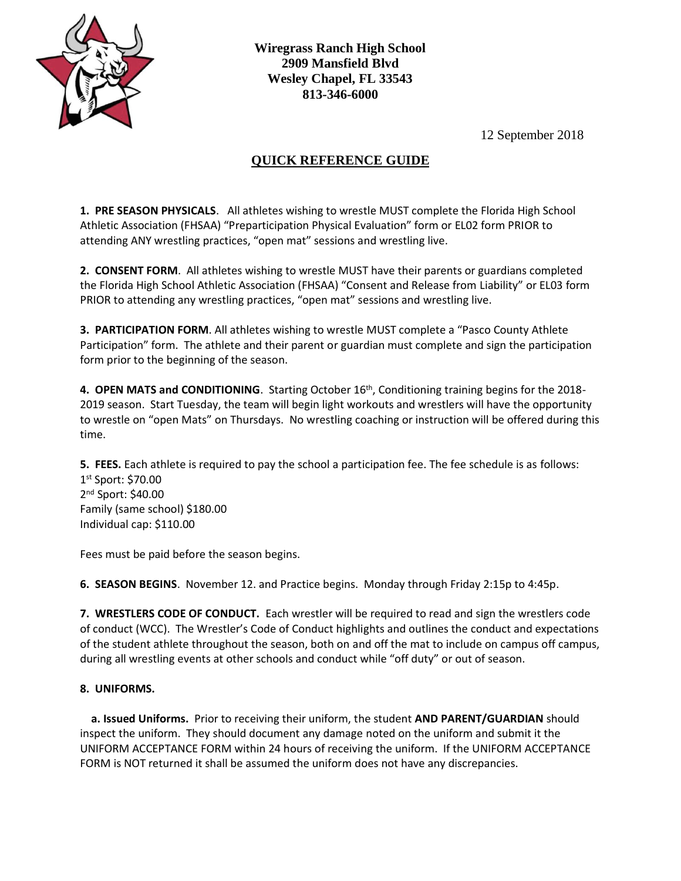

**Wiregrass Ranch High School 2909 Mansfield Blvd Wesley Chapel, FL 33543 813-346-6000**

12 September 2018

# **QUICK REFERENCE GUIDE**

**1. PRE SEASON PHYSICALS**. All athletes wishing to wrestle MUST complete the Florida High School Athletic Association (FHSAA) "Preparticipation Physical Evaluation" form or EL02 form PRIOR to attending ANY wrestling practices, "open mat" sessions and wrestling live.

**2. CONSENT FORM**. All athletes wishing to wrestle MUST have their parents or guardians completed the Florida High School Athletic Association (FHSAA) "Consent and Release from Liability" or EL03 form PRIOR to attending any wrestling practices, "open mat" sessions and wrestling live.

**3. PARTICIPATION FORM**. All athletes wishing to wrestle MUST complete a "Pasco County Athlete Participation" form. The athlete and their parent or guardian must complete and sign the participation form prior to the beginning of the season.

4. OPEN MATS and CONDITIONING. Starting October 16<sup>th</sup>, Conditioning training begins for the 2018-2019 season. Start Tuesday, the team will begin light workouts and wrestlers will have the opportunity to wrestle on "open Mats" on Thursdays. No wrestling coaching or instruction will be offered during this time.

**5. FEES.** Each athlete is required to pay the school a participation fee. The fee schedule is as follows: 1 st Sport: \$70.00 2<sup>nd</sup> Sport: \$40.00 Family (same school) \$180.00 Individual cap: \$110.00

Fees must be paid before the season begins.

**6. SEASON BEGINS**. November 12. and Practice begins. Monday through Friday 2:15p to 4:45p.

**7. WRESTLERS CODE OF CONDUCT.** Each wrestler will be required to read and sign the wrestlers code of conduct (WCC). The Wrestler's Code of Conduct highlights and outlines the conduct and expectations of the student athlete throughout the season, both on and off the mat to include on campus off campus, during all wrestling events at other schools and conduct while "off duty" or out of season.

# **8. UNIFORMS.**

 **a. Issued Uniforms.** Prior to receiving their uniform, the student **AND PARENT/GUARDIAN** should inspect the uniform. They should document any damage noted on the uniform and submit it the UNIFORM ACCEPTANCE FORM within 24 hours of receiving the uniform. If the UNIFORM ACCEPTANCE FORM is NOT returned it shall be assumed the uniform does not have any discrepancies.